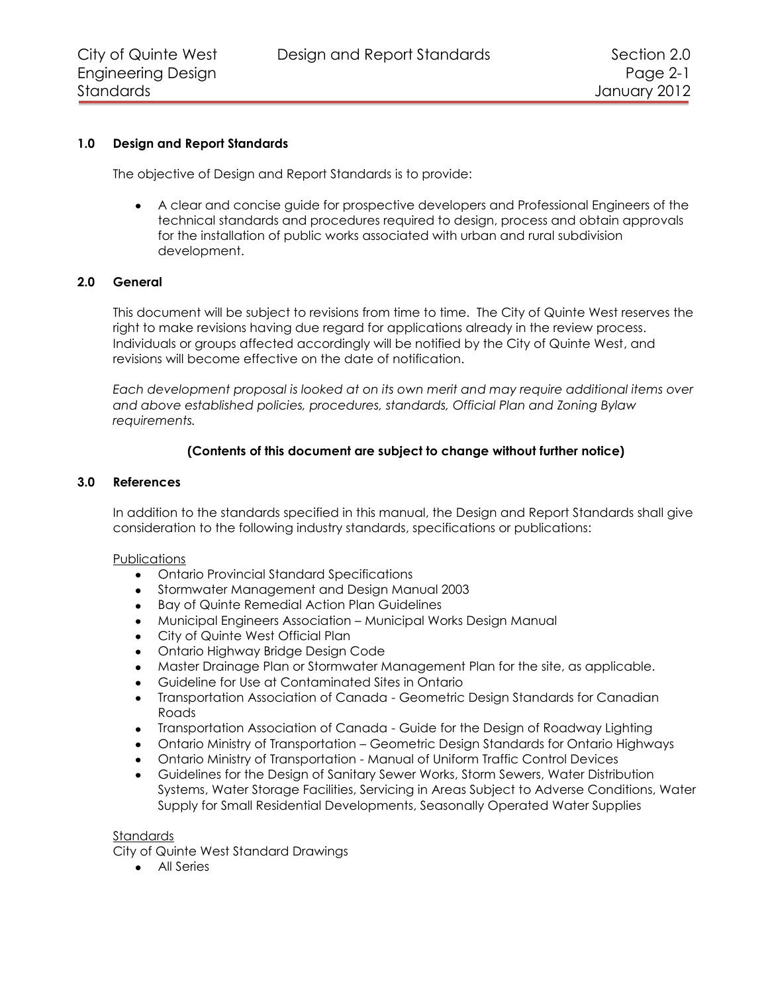# **1.0 Design and Report Standards**

The objective of Design and Report Standards is to provide:

A clear and concise guide for prospective developers and Professional Engineers of the technical standards and procedures required to design, process and obtain approvals for the installation of public works associated with urban and rural subdivision development.

## **2.0 General**

This document will be subject to revisions from time to time. The City of Quinte West reserves the right to make revisions having due regard for applications already in the review process. Individuals or groups affected accordingly will be notified by the City of Quinte West, and revisions will become effective on the date of notification.

*Each development proposal is looked at on its own merit and may require additional items over and above established policies, procedures, standards, Official Plan and Zoning Bylaw requirements.*

# **(Contents of this document are subject to change without further notice)**

## **3.0 References**

In addition to the standards specified in this manual, the Design and Report Standards shall give consideration to the following industry standards, specifications or publications:

## Publications

- Ontario Provincial Standard Specifications
- Stormwater Management and Design Manual 2003
- Bay of Quinte Remedial Action Plan Guidelines
- Municipal Engineers Association Municipal Works Design Manual
- City of Quinte West Official Plan  $\bullet$
- Ontario Highway Bridge Design Code
- Master Drainage Plan or Stormwater Management Plan for the site, as applicable.  $\bullet$
- Guideline for Use at Contaminated Sites in Ontario  $\bullet$
- Transportation Association of Canada Geometric Design Standards for Canadian  $\bullet$ Roads
- Transportation Association of Canada Guide for the Design of Roadway Lighting
- Ontario Ministry of Transportation Geometric Design Standards for Ontario Highways
- Ontario Ministry of Transportation Manual of Uniform Traffic Control Devices
- Guidelines for the Design of Sanitary Sewer Works, Storm Sewers, Water Distribution Systems, Water Storage Facilities, Servicing in Areas Subject to Adverse Conditions, Water Supply for Small Residential Developments, Seasonally Operated Water Supplies

#### Standards

City of Quinte West Standard Drawings

All Series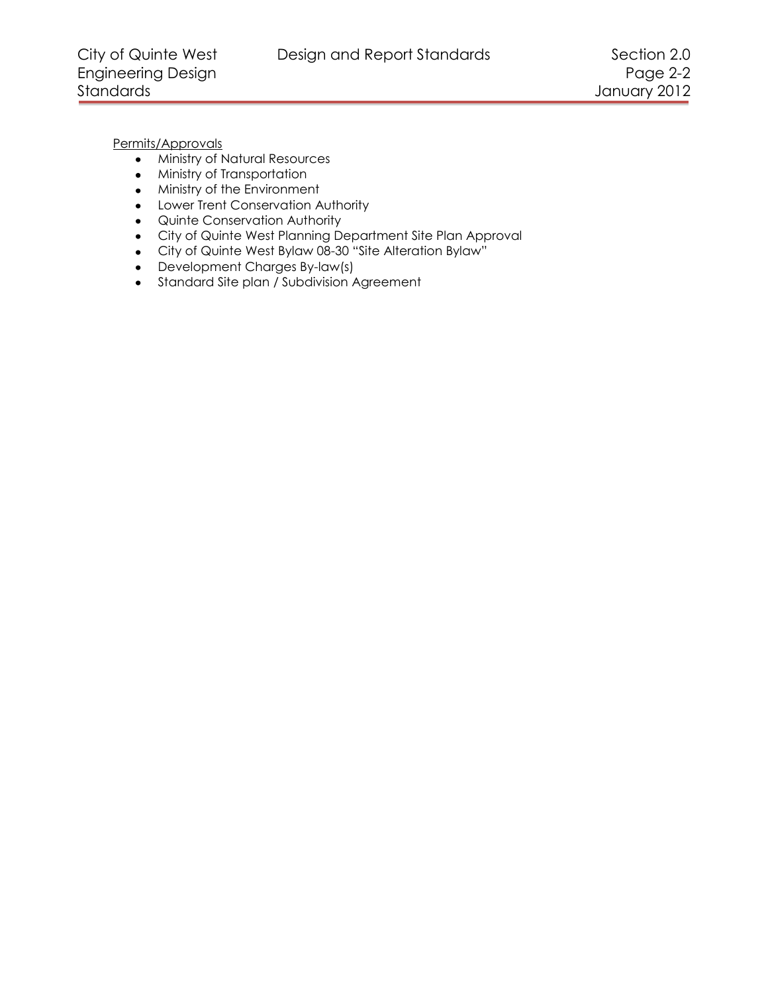Permits/Approvals

- Ministry of Natural Resources
- Ministry of Transportation
- Ministry of the Environment
- Lower Trent Conservation Authority
- Quinte Conservation Authority
- City of Quinte West Planning Department Site Plan Approval
- City of Quinte West Bylaw 08-30 "Site Alteration Bylaw"
- Development Charges By-law(s)
- Standard Site plan / Subdivision Agreement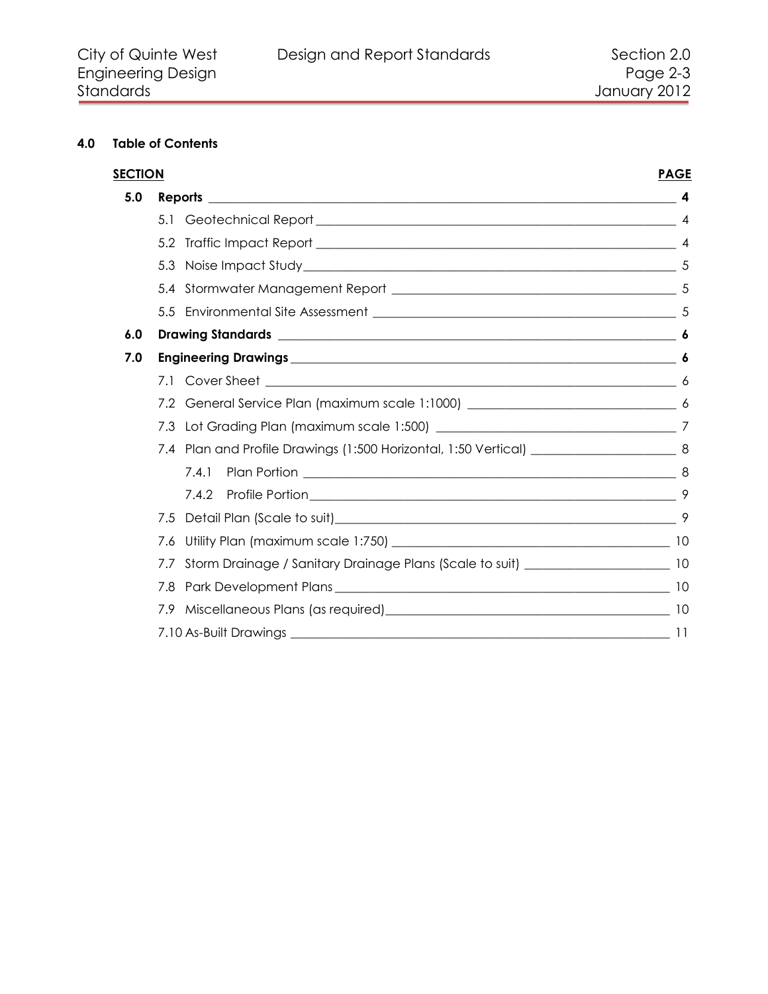# **4.0 Table of Contents**

| <b>SECTION</b> |                                                                                             | <b>PAGE</b> |
|----------------|---------------------------------------------------------------------------------------------|-------------|
| 5.0            |                                                                                             |             |
|                |                                                                                             |             |
|                |                                                                                             |             |
|                |                                                                                             |             |
|                |                                                                                             |             |
|                |                                                                                             |             |
| 6.0            |                                                                                             |             |
| 7.0            |                                                                                             |             |
|                |                                                                                             |             |
|                | 7.2                                                                                         |             |
|                | 7.3                                                                                         |             |
|                | 7.4 Plan and Profile Drawings (1:500 Horizontal, 1:50 Vertical) ________________________ 8  |             |
|                | 7.4.1                                                                                       |             |
|                | 7.4.2                                                                                       |             |
|                | 7.5                                                                                         |             |
|                | 7.6                                                                                         |             |
|                | Storm Drainage / Sanitary Drainage Plans (Scale to suit) ________________________ 10<br>7.7 |             |
|                | 7.8                                                                                         |             |
|                |                                                                                             |             |
|                |                                                                                             |             |
|                |                                                                                             |             |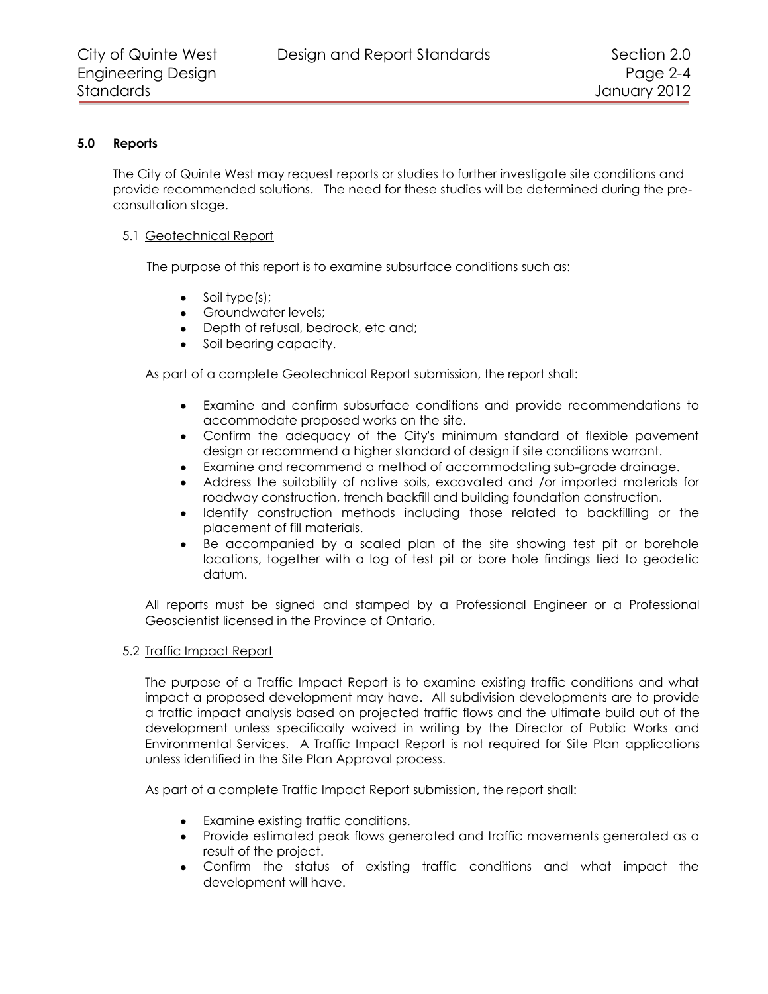# **5.0 Reports**

<span id="page-3-0"></span>The City of Quinte West may request reports or studies to further investigate site conditions and provide recommended solutions. The need for these studies will be determined during the preconsultation stage.

## <span id="page-3-1"></span>5.1 Geotechnical Report

The purpose of this report is to examine subsurface conditions such as:

- Soil type(s);  $\bullet$
- **•** Groundwater levels;
- Depth of refusal, bedrock, etc and;
- Soil bearing capacity.

As part of a complete Geotechnical Report submission, the report shall:

- $\bullet$ Examine and confirm subsurface conditions and provide recommendations to accommodate proposed works on the site.
- Confirm the adequacy of the City's minimum standard of flexible pavement design or recommend a higher standard of design if site conditions warrant.
- Examine and recommend a method of accommodating sub-grade drainage.  $\bullet$
- Address the suitability of native soils, excavated and /or imported materials for roadway construction, trench backfill and building foundation construction.
- Identify construction methods including those related to backfilling or the  $\bullet$ placement of fill materials.
- Be accompanied by a scaled plan of the site showing test pit or borehole locations, together with a log of test pit or bore hole findings tied to geodetic datum.

All reports must be signed and stamped by a Professional Engineer or a Professional Geoscientist licensed in the Province of Ontario.

## <span id="page-3-2"></span>5.2 Traffic Impact Report

The purpose of a Traffic Impact Report is to examine existing traffic conditions and what impact a proposed development may have. All subdivision developments are to provide a traffic impact analysis based on projected traffic flows and the ultimate build out of the development unless specifically waived in writing by the Director of Public Works and Environmental Services. A Traffic Impact Report is not required for Site Plan applications unless identified in the Site Plan Approval process.

As part of a complete Traffic Impact Report submission, the report shall:

- Examine existing traffic conditions.
- Provide estimated peak flows generated and traffic movements generated as a result of the project.
- Confirm the status of existing traffic conditions and what impact the development will have.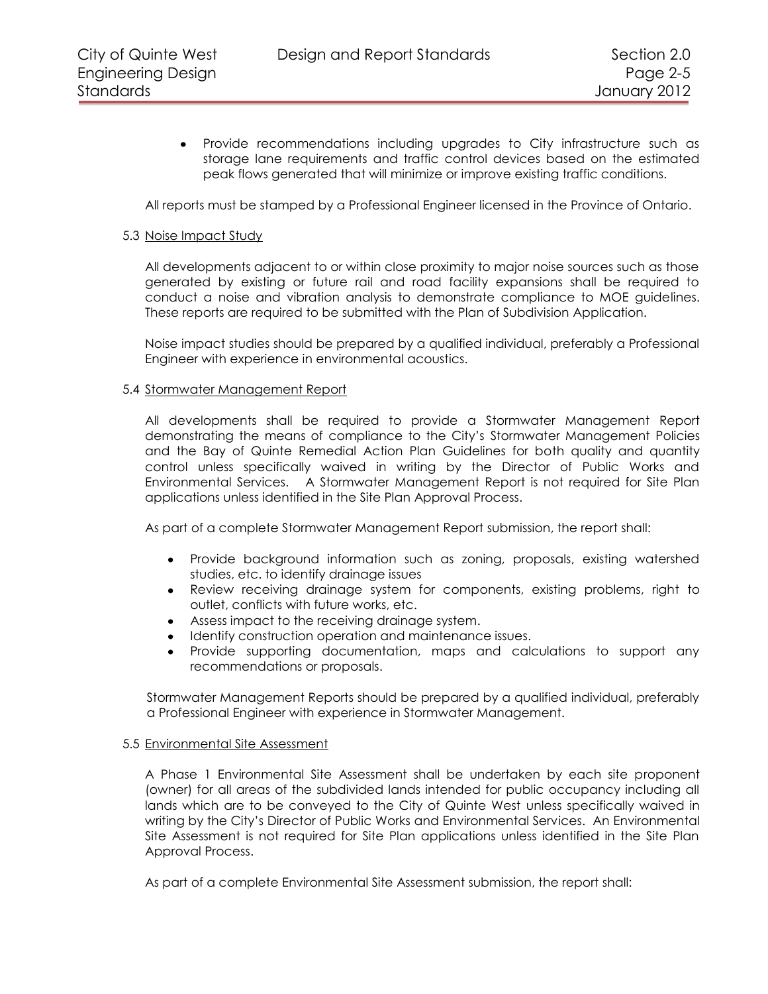Provide recommendations including upgrades to City infrastructure such as  $\bullet$ storage lane requirements and traffic control devices based on the estimated peak flows generated that will minimize or improve existing traffic conditions.

All reports must be stamped by a Professional Engineer licensed in the Province of Ontario.

#### <span id="page-4-0"></span>5.3 Noise Impact Study

All developments adjacent to or within close proximity to major noise sources such as those generated by existing or future rail and road facility expansions shall be required to conduct a noise and vibration analysis to demonstrate compliance to MOE guidelines. These reports are required to be submitted with the Plan of Subdivision Application.

Noise impact studies should be prepared by a qualified individual, preferably a Professional Engineer with experience in environmental acoustics.

#### <span id="page-4-1"></span>5.4 Stormwater Management Report

All developments shall be required to provide a Stormwater Management Report demonstrating the means of compliance to the City's Stormwater Management Policies and the Bay of Quinte Remedial Action Plan Guidelines for both quality and quantity control unless specifically waived in writing by the Director of Public Works and Environmental Services. A Stormwater Management Report is not required for Site Plan applications unless identified in the Site Plan Approval Process.

As part of a complete Stormwater Management Report submission, the report shall:

- Provide background information such as zoning, proposals, existing watershed  $\bullet$ studies, etc. to identify drainage issues
- Review receiving drainage system for components, existing problems, right to outlet, conflicts with future works, etc.
- Assess impact to the receiving drainage system.
- Identify construction operation and maintenance issues.
- Provide supporting documentation, maps and calculations to support any recommendations or proposals.

Stormwater Management Reports should be prepared by a qualified individual, preferably a Professional Engineer with experience in Stormwater Management.

#### <span id="page-4-2"></span>5.5 Environmental Site Assessment

A Phase 1 Environmental Site Assessment shall be undertaken by each site proponent (owner) for all areas of the subdivided lands intended for public occupancy including all lands which are to be conveyed to the City of Quinte West unless specifically waived in writing by the City's Director of Public Works and Environmental Services. An Environmental Site Assessment is not required for Site Plan applications unless identified in the Site Plan Approval Process.

As part of a complete Environmental Site Assessment submission, the report shall: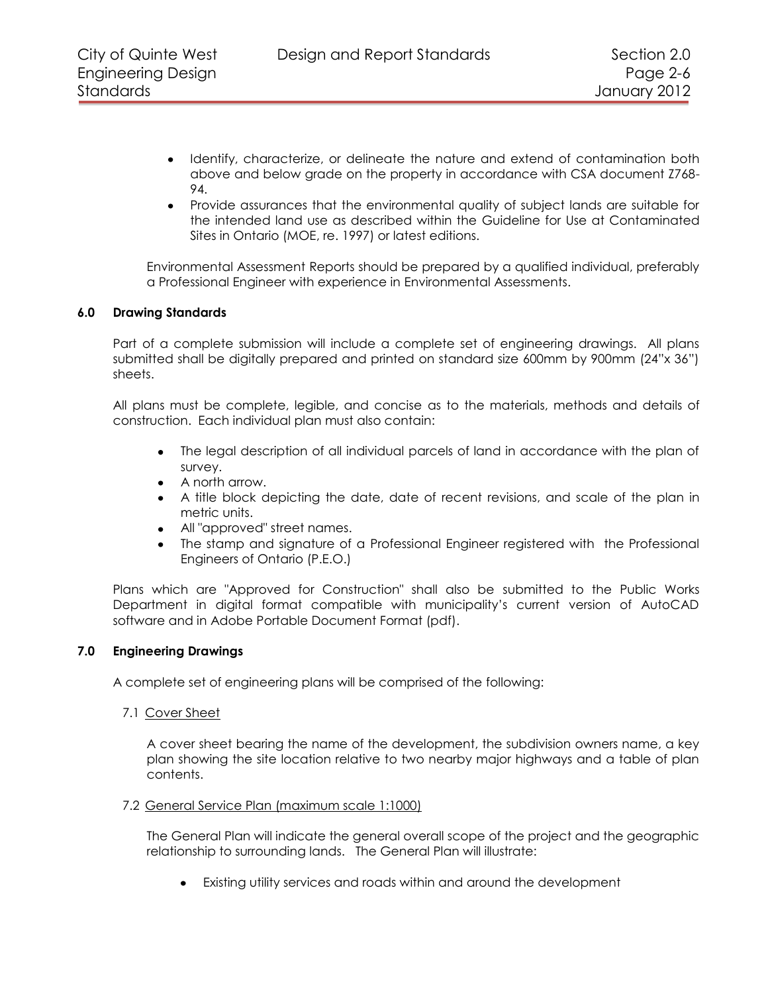- Identify, characterize, or delineate the nature and extend of contamination both above and below grade on the property in accordance with CSA document Z768- 94.
- Provide assurances that the environmental quality of subject lands are suitable for the intended land use as described within the Guideline for Use at Contaminated Sites in Ontario (MOE, re. 1997) or latest editions.

Environmental Assessment Reports should be prepared by a qualified individual, preferably a Professional Engineer with experience in Environmental Assessments.

## <span id="page-5-0"></span>**6.0 Drawing Standards**

Part of a complete submission will include a complete set of engineering drawings. All plans submitted shall be digitally prepared and printed on standard size 600mm by 900mm (24"x 36") sheets.

All plans must be complete, legible, and concise as to the materials, methods and details of construction. Each individual plan must also contain:

- The legal description of all individual parcels of land in accordance with the plan of survey.
- A north arrow.
- A title block depicting the date, date of recent revisions, and scale of the plan in metric units.
- All "approved" street names.
- The stamp and signature of a Professional Engineer registered with the Professional Engineers of Ontario (P.E.O.)

Plans which are "Approved for Construction" shall also be submitted to the Public Works Department in digital format compatible with municipality's current version of AutoCAD software and in Adobe Portable Document Format (pdf).

## **7.0 Engineering Drawings**

<span id="page-5-1"></span>A complete set of engineering plans will be comprised of the following:

<span id="page-5-2"></span>7.1 Cover Sheet

A cover sheet bearing the name of the development, the subdivision owners name, a key plan showing the site location relative to two nearby major highways and a table of plan contents.

#### <span id="page-5-3"></span>7.2 General Service Plan (maximum scale 1:1000)

The General Plan will indicate the general overall scope of the project and the geographic relationship to surrounding lands. The General Plan will illustrate:

Existing utility services and roads within and around the development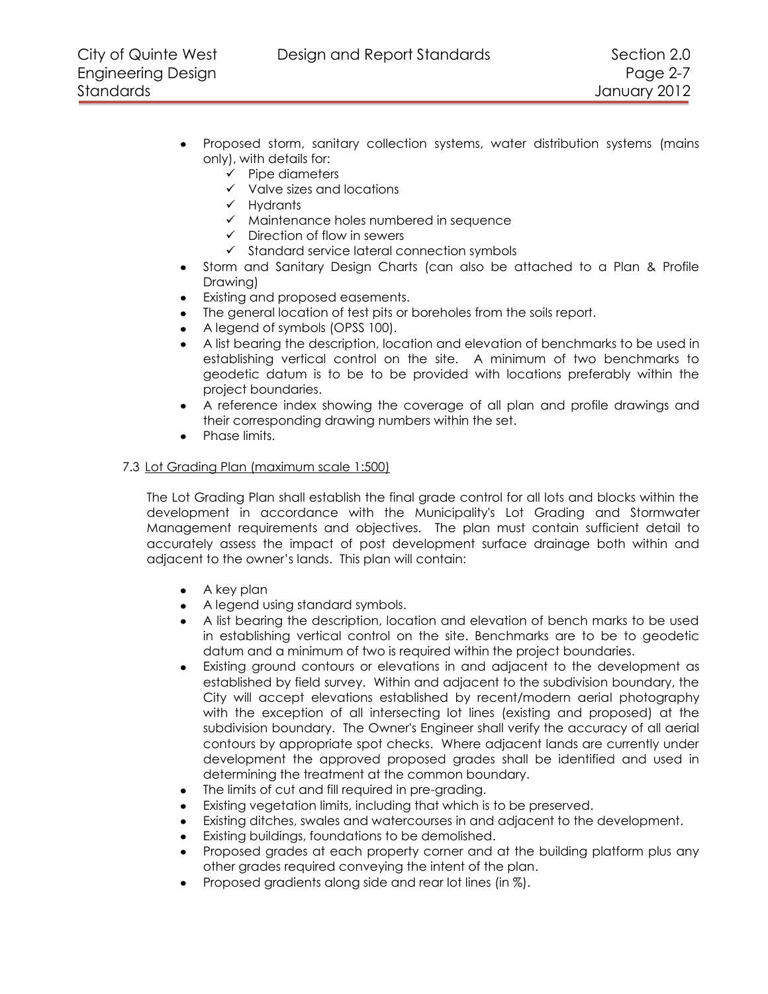- Proposed storm, sanitary collection systems, water distribution systems (mains only), with details for:
	- $\checkmark$  Pipe diameters
	- $\checkmark$  Valve sizes and locations
	- $\checkmark$  Hydrants
	- $\checkmark$  Maintenance holes numbered in sequence
	- $\checkmark$  Direction of flow in sewers
	- $\checkmark$  Standard service lateral connection symbols
- Storm and Sanitary Design Charts (can also be attached to a Plan & Profile Drawing)
- $\bullet$ Existing and proposed easements.
- The general location of test pits or boreholes from the soils report.  $\bullet$
- A legend of symbols (OPSS 100).
- A list bearing the description, location and elevation of benchmarks to be used in establishing vertical control on the site. A minimum of two benchmarks to geodetic datum is to be to be provided with locations preferably within the project boundaries.
- $\bullet$ A reference index showing the coverage of all plan and profile drawings and their corresponding drawing numbers within the set.
- Phase limits.

## <span id="page-6-0"></span>7.3 Lot Grading Plan (maximum scale 1:500)

The Lot Grading Plan shall establish the final grade control for all lots and blocks within the development in accordance with the Municipality's Lot Grading and Stormwater Management requirements and objectives. The plan must contain sufficient detail to accurately assess the impact of post development surface drainage both within and adjacent to the owner's lands. This plan will contain:

- A key plan
- A legend using standard symbols.
- A list bearing the description, location and elevation of bench marks to be used in establishing vertical control on the site. Benchmarks are to be to geodetic datum and a minimum of two is required within the project boundaries.
- $\bullet$ Existing ground contours or elevations in and adjacent to the development as established by field survey. Within and adjacent to the subdivision boundary, the City will accept elevations established by recent/modern aerial photography with the exception of all intersecting lot lines (existing and proposed) at the subdivision boundary. The Owner's Engineer shall verify the accuracy of all aerial contours by appropriate spot checks. Where adjacent lands are currently under development the approved proposed grades shall be identified and used in determining the treatment at the common boundary.
- The limits of cut and fill required in pre-grading.  $\bullet$
- Existing vegetation limits, including that which is to be preserved.
- Existing ditches, swales and watercourses in and adjacent to the development.  $\bullet$
- Existing buildings, foundations to be demolished.  $\bullet$
- Proposed grades at each property corner and at the building platform plus any other grades required conveying the intent of the plan.
- Proposed gradients along side and rear lot lines (in %).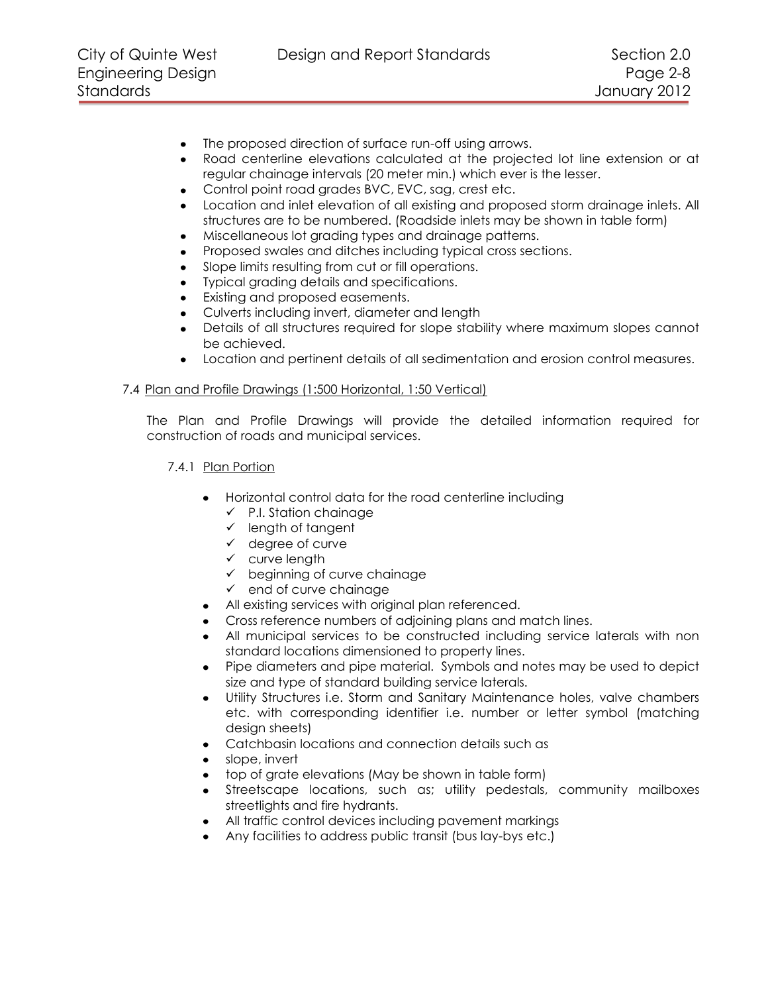- $\bullet$ The proposed direction of surface run-off using arrows.
- Road centerline elevations calculated at the projected lot line extension or at regular chainage intervals (20 meter min.) which ever is the lesser.
- Control point road grades BVC, EVC, sag, crest etc.  $\bullet$
- $\bullet$ Location and inlet elevation of all existing and proposed storm drainage inlets. All structures are to be numbered. (Roadside inlets may be shown in table form)
- Miscellaneous lot grading types and drainage patterns.  $\bullet$
- Proposed swales and ditches including typical cross sections.  $\bullet$
- Slope limits resulting from cut or fill operations.  $\bullet$
- Typical grading details and specifications.
- $\bullet$ Existing and proposed easements.
- Culverts including invert, diameter and length  $\bullet$
- Details of all structures required for slope stability where maximum slopes cannot be achieved.
- Location and pertinent details of all sedimentation and erosion control measures.

## <span id="page-7-0"></span>7.4 Plan and Profile Drawings (1:500 Horizontal, 1:50 Vertical)

The Plan and Profile Drawings will provide the detailed information required for construction of roads and municipal services.

- <span id="page-7-1"></span>7.4.1 Plan Portion
	- Horizontal control data for the road centerline including
		- $\checkmark$  P.I. Station chainage
		- $\checkmark$  length of tangent
		- $\checkmark$  degree of curve
		- $\checkmark$  curve length
		- beginning of curve chainage
		- $\checkmark$  end of curve chainage
	- All existing services with original plan referenced.
	- Cross reference numbers of adjoining plans and match lines.
	- All municipal services to be constructed including service laterals with non standard locations dimensioned to property lines.
	- Pipe diameters and pipe material. Symbols and notes may be used to depict size and type of standard building service laterals.
	- Utility Structures i.e. Storm and Sanitary Maintenance holes, valve chambers  $\bullet$ etc. with corresponding identifier i.e. number or letter symbol (matching design sheets)
	- Catchbasin locations and connection details such as
	- slope, invert
	- top of grate elevations (May be shown in table form)  $\bullet$
	- Streetscape locations, such as; utility pedestals, community mailboxes  $\bullet$ streetlights and fire hydrants.
	- All traffic control devices including pavement markings
	- Any facilities to address public transit (bus lay-bys etc.)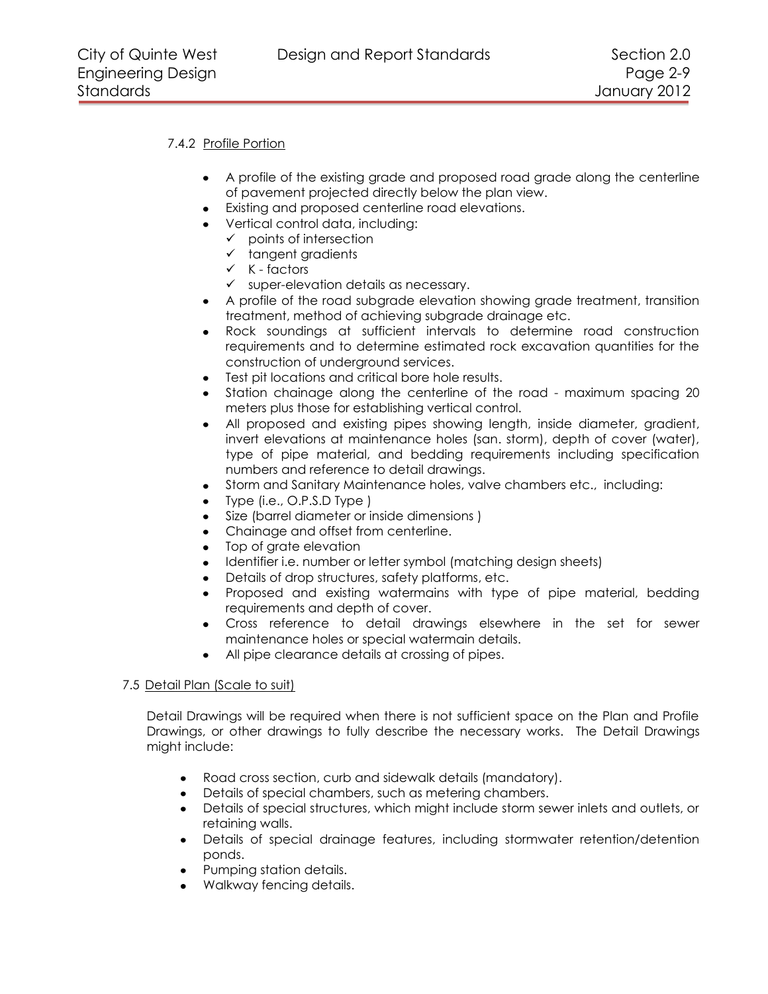# <span id="page-8-0"></span>7.4.2 Profile Portion

- A profile of the existing grade and proposed road grade along the centerline of pavement projected directly below the plan view.
- Existing and proposed centerline road elevations.
- Vertical control data, including:
	- $\checkmark$  points of intersection
	- $\checkmark$  tangent gradients
	- $\checkmark$  K factors
	- $\checkmark$  super-elevation details as necessary.
- A profile of the road subgrade elevation showing grade treatment, transition treatment, method of achieving subgrade drainage etc.
- Rock soundings at sufficient intervals to determine road construction  $\bullet$ requirements and to determine estimated rock excavation quantities for the construction of underground services.
- Test pit locations and critical bore hole results.  $\bullet$
- Station chainage along the centerline of the road maximum spacing 20 meters plus those for establishing vertical control.
- All proposed and existing pipes showing length, inside diameter, gradient, invert elevations at maintenance holes (san. storm), depth of cover (water), type of pipe material, and bedding requirements including specification numbers and reference to detail drawings.
- Storm and Sanitary Maintenance holes, valve chambers etc., including:  $\bullet$
- Type (i.e., O.P.S.D Type )
- Size (barrel diameter or inside dimensions )
- Chainage and offset from centerline.  $\bullet$
- Top of grate elevation  $\bullet$
- Identifier i.e. number or letter symbol (matching design sheets)  $\bullet$
- $\bullet$ Details of drop structures, safety platforms, etc.
- Proposed and existing watermains with type of pipe material, bedding requirements and depth of cover.
- Cross reference to detail drawings elsewhere in the set for sewer maintenance holes or special watermain details.
- All pipe clearance details at crossing of pipes.

## <span id="page-8-1"></span>7.5 Detail Plan (Scale to suit)

Detail Drawings will be required when there is not sufficient space on the Plan and Profile Drawings, or other drawings to fully describe the necessary works. The Detail Drawings might include:

- $\bullet$ Road cross section, curb and sidewalk details (mandatory).
- Details of special chambers, such as metering chambers.
- $\bullet$ Details of special structures, which might include storm sewer inlets and outlets, or retaining walls.
- Details of special drainage features, including stormwater retention/detention ponds.
- Pumping station details.
- Walkway fencing details.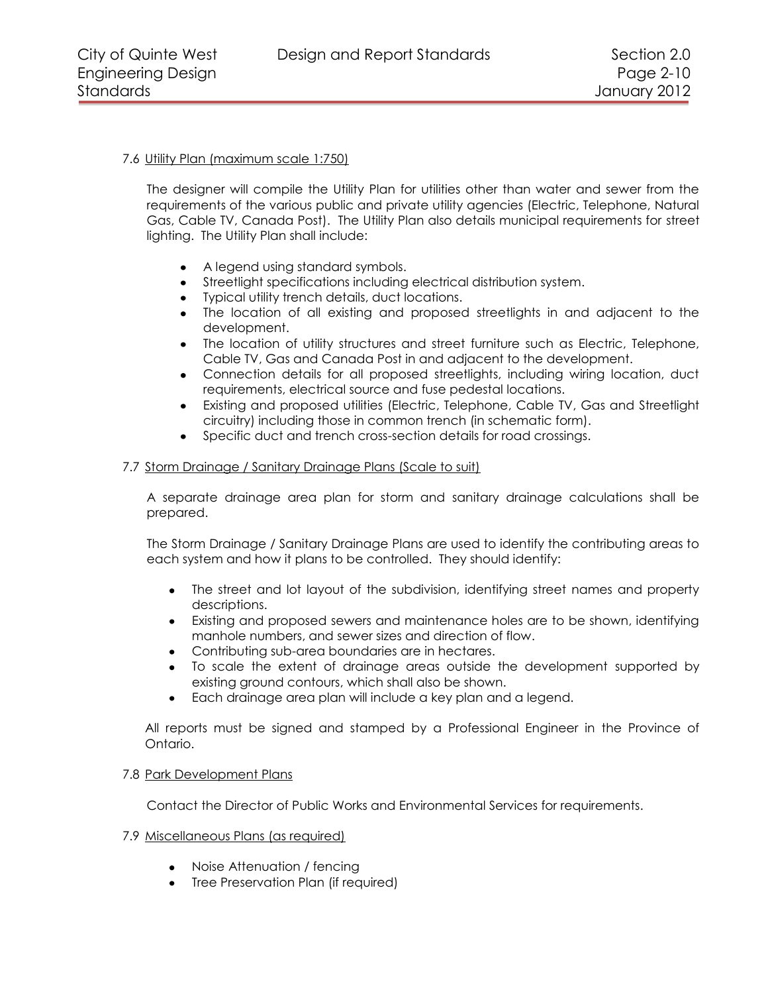City of Quinte West Design and Report Standards Section 2.0

# <span id="page-9-0"></span>7.6 Utility Plan (maximum scale 1:750)

The designer will compile the Utility Plan for utilities other than water and sewer from the requirements of the various public and private utility agencies (Electric, Telephone, Natural Gas, Cable TV, Canada Post). The Utility Plan also details municipal requirements for street lighting. The Utility Plan shall include:

- A legend using standard symbols.
- Streetlight specifications including electrical distribution system.
- Typical utility trench details, duct locations.
- The location of all existing and proposed streetlights in and adjacent to the development.
- The location of utility structures and street furniture such as Electric, Telephone, Cable TV, Gas and Canada Post in and adjacent to the development.
- Connection details for all proposed streetlights, including wiring location, duct  $\bullet$ requirements, electrical source and fuse pedestal locations.
- Existing and proposed utilities (Electric, Telephone, Cable TV, Gas and Streetlight  $\bullet$ circuitry) including those in common trench (in schematic form).
- Specific duct and trench cross-section details for road crossings.

## <span id="page-9-1"></span>7.7 Storm Drainage / Sanitary Drainage Plans (Scale to suit)

A separate drainage area plan for storm and sanitary drainage calculations shall be prepared.

The Storm Drainage / Sanitary Drainage Plans are used to identify the contributing areas to each system and how it plans to be controlled. They should identify:

- The street and lot layout of the subdivision, identifying street names and property descriptions.
- Existing and proposed sewers and maintenance holes are to be shown, identifying manhole numbers, and sewer sizes and direction of flow.
- Contributing sub-area boundaries are in hectares.
- To scale the extent of drainage areas outside the development supported by existing ground contours, which shall also be shown.
- Each drainage area plan will include a key plan and a legend.

All reports must be signed and stamped by a Professional Engineer in the Province of Ontario.

## <span id="page-9-2"></span>7.8 Park Development Plans

Contact the Director of Public Works and Environmental Services for requirements.

# <span id="page-9-3"></span>7.9 Miscellaneous Plans (as required)

- Noise Attenuation / fencing
- Tree Preservation Plan (if required)